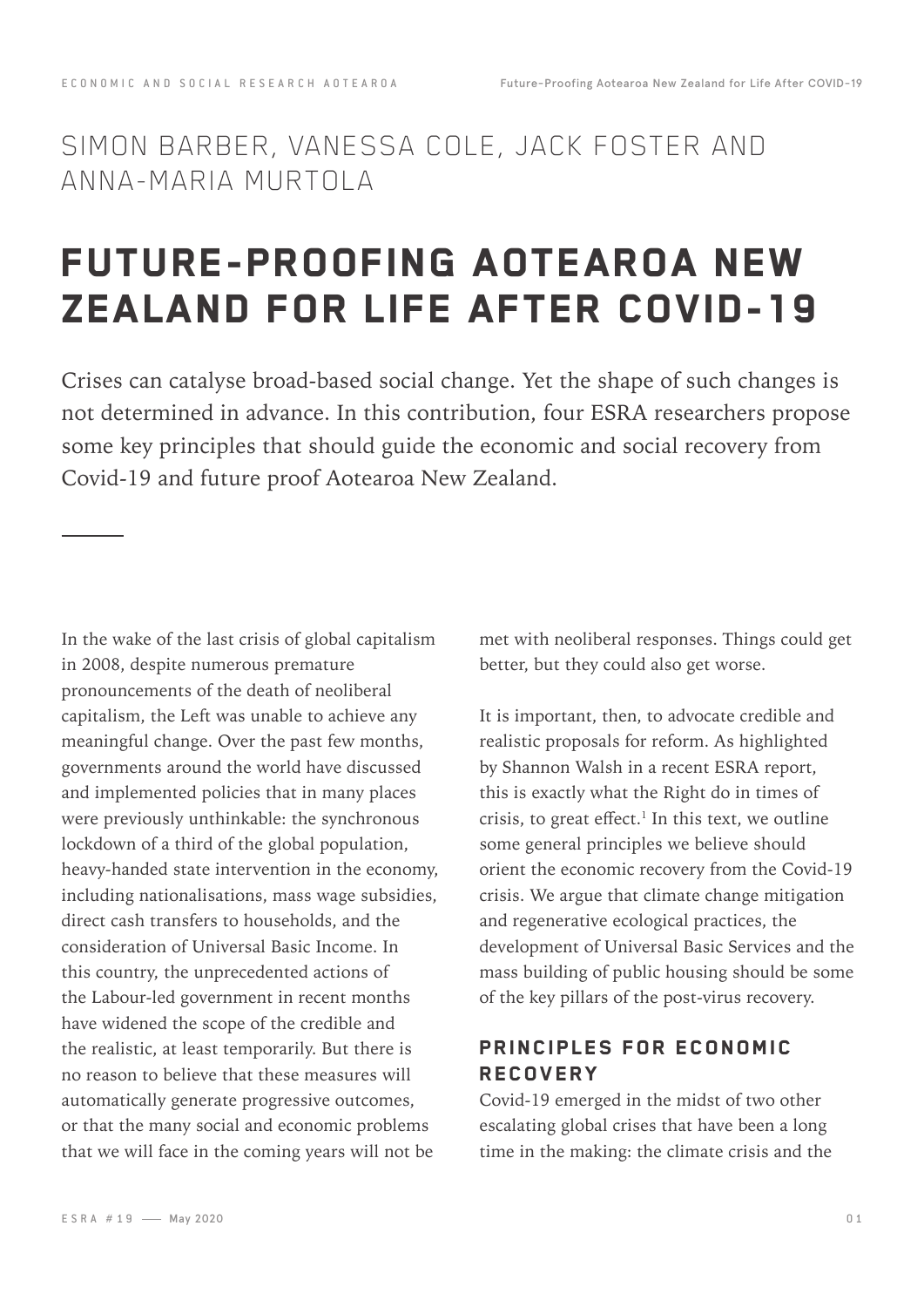### SIMON BARBER, VANESSA COLE, JACK FOSTER AND ANNA-MARIA MURTOLA

## FUTURE-PROOFING AOTEAROA NEW ZEALAND FOR LIFE AFTER COVID-19

Crises can catalyse broad-based social change. Yet the shape of such changes is not determined in advance. In this contribution, four ESRA researchers propose some key principles that should guide the economic and social recovery from Covid-19 and future proof Aotearoa New Zealand.

In the wake of the last crisis of global capitalism in 2008, despite numerous premature pronouncements of the death of neoliberal capitalism, the Left was unable to achieve any meaningful change. Over the past few months, governments around the world have discussed and implemented policies that in many places were previously unthinkable: the synchronous lockdown of a third of the global population, heavy-handed state intervention in the economy, including nationalisations, mass wage subsidies, direct cash transfers to households, and the consideration of Universal Basic Income. In this country, the unprecedented actions of the Labour-led government in recent months have widened the scope of the credible and the realistic, at least temporarily. But there is no reason to believe that these measures will automatically generate progressive outcomes, or that the many social and economic problems that we will face in the coming years will not be

met with neoliberal responses. Things could get better, but they could also get worse.

It is important, then, to advocate credible and realistic proposals for reform. As highlighted by Shannon Walsh in a recent ESRA report, this is exactly what the Right do in times of crisis, to great effect. $<sup>1</sup>$  In this text, we outline</sup> some general principles we believe should orient the economic recovery from the Covid-19 crisis. We argue that climate change mitigation and regenerative ecological practices, the development of Universal Basic Services and the mass building of public housing should be some of the key pillars of the post-virus recovery.

### PRINCIPLES FOR ECONOMIC **RECOVERY**

Covid-19 emerged in the midst of two other escalating global crises that have been a long time in the making: the climate crisis and the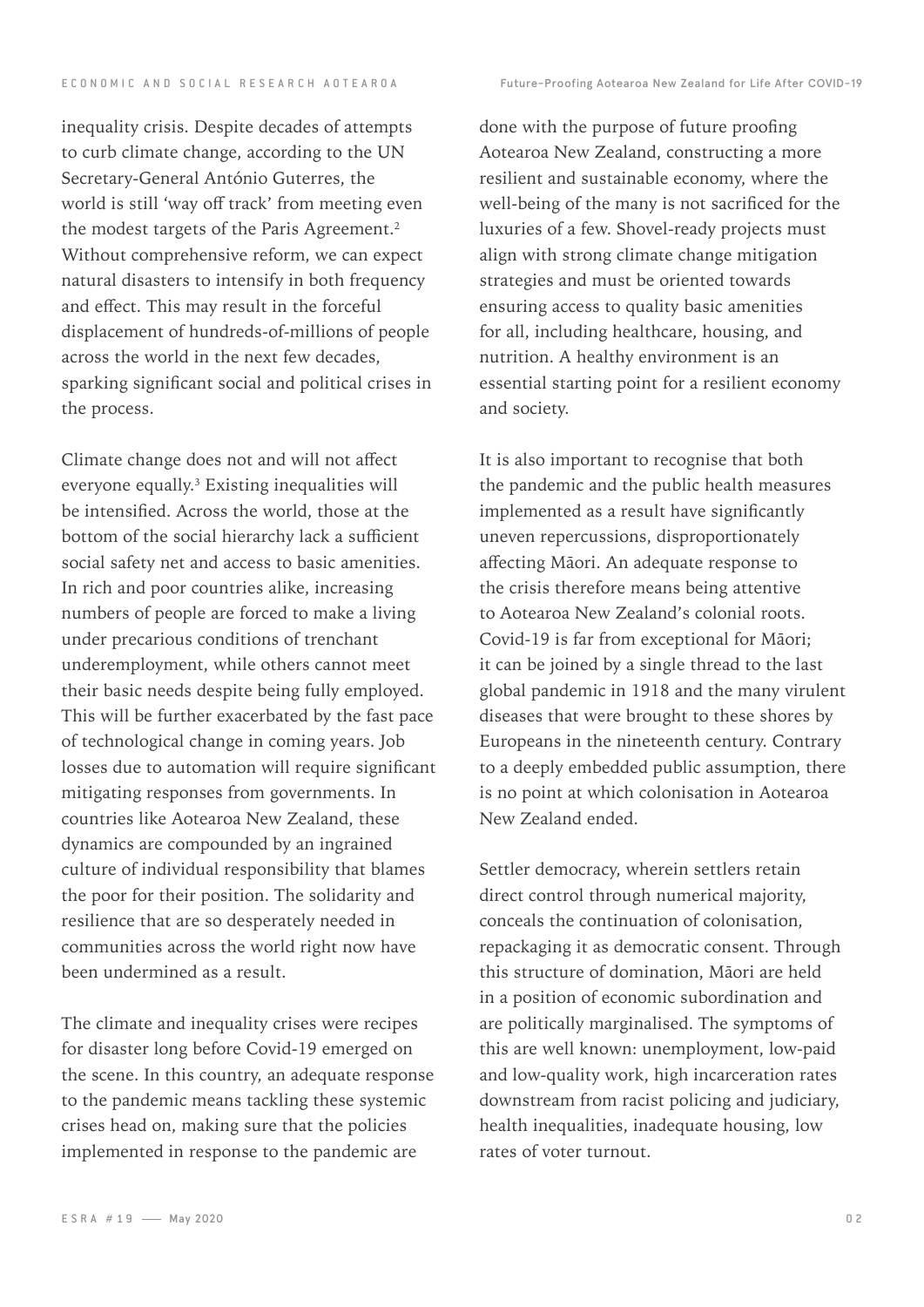inequality crisis. Despite decades of attempts to curb climate change, according to the UN Secretary-General António Guterres, the world is still 'way off track' from meeting even the modest targets of the Paris Agreement.<sup>2</sup> Without comprehensive reform, we can expect natural disasters to intensify in both frequency and effect. This may result in the forceful displacement of hundreds-of-millions of people across the world in the next few decades, sparking significant social and political crises in the process.

Climate change does not and will not affect everyone equally.3 Existing inequalities will be intensified. Across the world, those at the bottom of the social hierarchy lack a sufficient social safety net and access to basic amenities. In rich and poor countries alike, increasing numbers of people are forced to make a living under precarious conditions of trenchant underemployment, while others cannot meet their basic needs despite being fully employed. This will be further exacerbated by the fast pace of technological change in coming years. Job losses due to automation will require significant mitigating responses from governments. In countries like Aotearoa New Zealand, these dynamics are compounded by an ingrained culture of individual responsibility that blames the poor for their position. The solidarity and resilience that are so desperately needed in communities across the world right now have been undermined as a result.

The climate and inequality crises were recipes for disaster long before Covid-19 emerged on the scene. In this country, an adequate response to the pandemic means tackling these systemic crises head on, making sure that the policies implemented in response to the pandemic are

done with the purpose of future proofing Aotearoa New Zealand, constructing a more resilient and sustainable economy, where the well-being of the many is not sacrificed for the luxuries of a few. Shovel-ready projects must align with strong climate change mitigation strategies and must be oriented towards ensuring access to quality basic amenities for all, including healthcare, housing, and nutrition. A healthy environment is an essential starting point for a resilient economy and society.

It is also important to recognise that both the pandemic and the public health measures implemented as a result have significantly uneven repercussions, disproportionately affecting Māori. An adequate response to the crisis therefore means being attentive to Aotearoa New Zealand's colonial roots. Covid-19 is far from exceptional for Māori; it can be joined by a single thread to the last global pandemic in 1918 and the many virulent diseases that were brought to these shores by Europeans in the nineteenth century. Contrary to a deeply embedded public assumption, there is no point at which colonisation in Aotearoa New Zealand ended.

Settler democracy, wherein settlers retain direct control through numerical majority, conceals the continuation of colonisation, repackaging it as democratic consent. Through this structure of domination, Māori are held in a position of economic subordination and are politically marginalised. The symptoms of this are well known: unemployment, low-paid and low-quality work, high incarceration rates downstream from racist policing and judiciary, health inequalities, inadequate housing, low rates of voter turnout.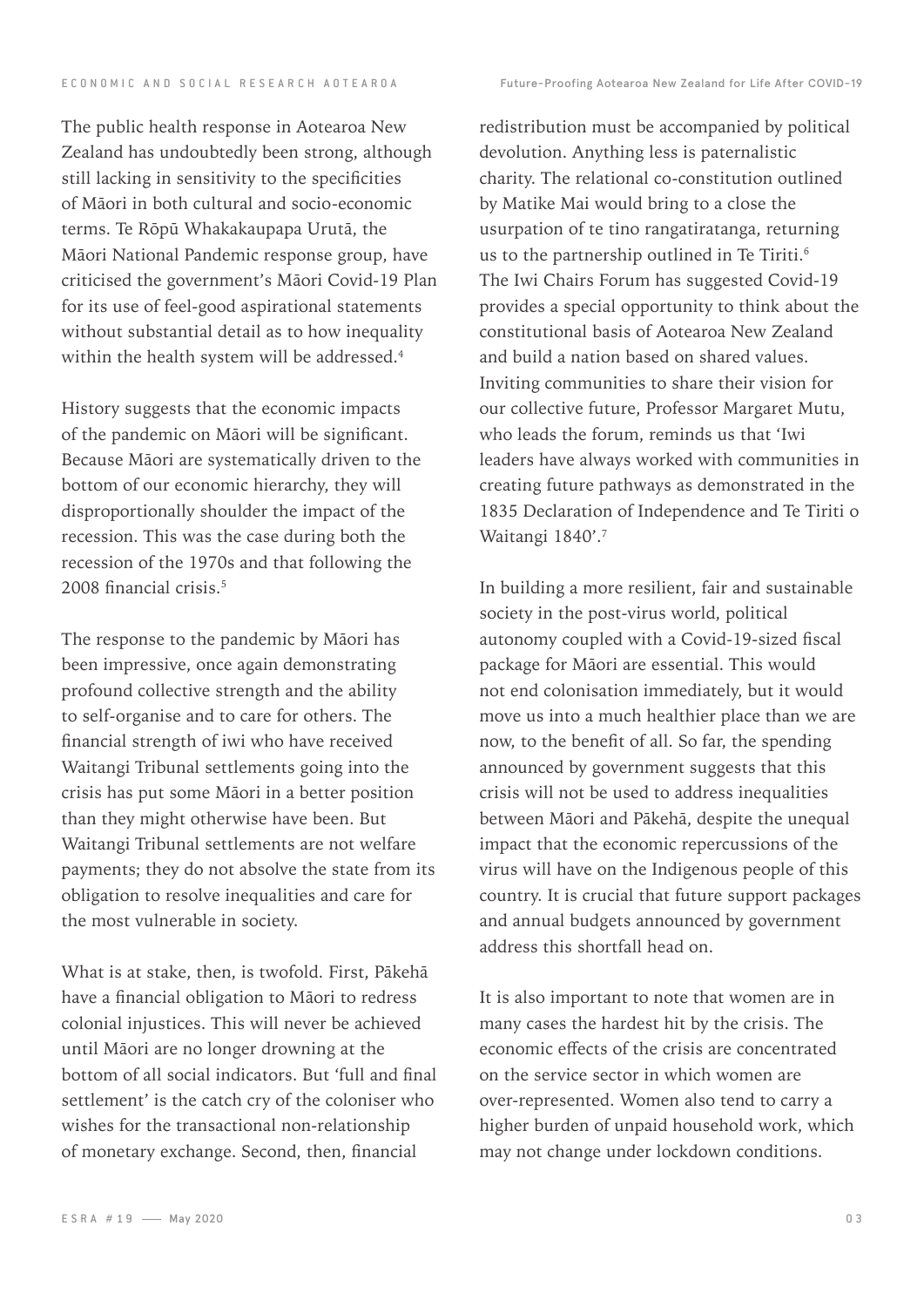E C O N O M I C A N D S O C I A L R E S E A R C H A O T E A R O A C FUTURE-Proofing Aotearoa New Zealand for Life After COVID-19

The public health response in Aotearoa New Zealand has undoubtedly been strong, although still lacking in sensitivity to the specificities of Māori in both cultural and socio-economic terms. Te Rōpū Whakakaupapa Urutā, the Māori National Pandemic response group, have criticised the government's Māori Covid-19 Plan for its use of feel-good aspirational statements without substantial detail as to how inequality within the health system will be addressed.<sup>4</sup>

History suggests that the economic impacts of the pandemic on Māori will be significant. Because Māori are systematically driven to the bottom of our economic hierarchy, they will disproportionally shoulder the impact of the recession. This was the case during both the recession of the 1970s and that following the 2008 financial crisis.<sup>5</sup>

The response to the pandemic by Māori has been impressive, once again demonstrating profound collective strength and the ability to self-organise and to care for others. The financial strength of iwi who have received Waitangi Tribunal settlements going into the crisis has put some Māori in a better position than they might otherwise have been. But Waitangi Tribunal settlements are not welfare payments; they do not absolve the state from its obligation to resolve inequalities and care for the most vulnerable in society.

What is at stake, then, is twofold. First, Pākehā have a financial obligation to Māori to redress colonial injustices. This will never be achieved until Māori are no longer drowning at the bottom of all social indicators. But 'full and final settlement' is the catch cry of the coloniser who wishes for the transactional non-relationship of monetary exchange. Second, then, financial

redistribution must be accompanied by political devolution. Anything less is paternalistic charity. The relational co-constitution outlined by Matike Mai would bring to a close the usurpation of te tino rangatiratanga, returning us to the partnership outlined in Te Tiriti.<sup>6</sup> The Iwi Chairs Forum has suggested Covid-19 provides a special opportunity to think about the constitutional basis of Aotearoa New Zealand and build a nation based on shared values. Inviting communities to share their vision for our collective future, Professor Margaret Mutu, who leads the forum, reminds us that 'Iwi leaders have always worked with communities in creating future pathways as demonstrated in the 1835 Declaration of Independence and Te Tiriti o Waitangi 1840'.<sup>7</sup>

In building a more resilient, fair and sustainable society in the post-virus world, political autonomy coupled with a Covid-19-sized fiscal package for Māori are essential. This would not end colonisation immediately, but it would move us into a much healthier place than we are now, to the benefit of all. So far, the spending announced by government suggests that this crisis will not be used to address inequalities between Māori and Pākehā, despite the unequal impact that the economic repercussions of the virus will have on the Indigenous people of this country. It is crucial that future support packages and annual budgets announced by government address this shortfall head on.

It is also important to note that women are in many cases the hardest hit by the crisis. The economic effects of the crisis are concentrated on the service sector in which women are over-represented. Women also tend to carry a higher burden of unpaid household work, which may not change under lockdown conditions.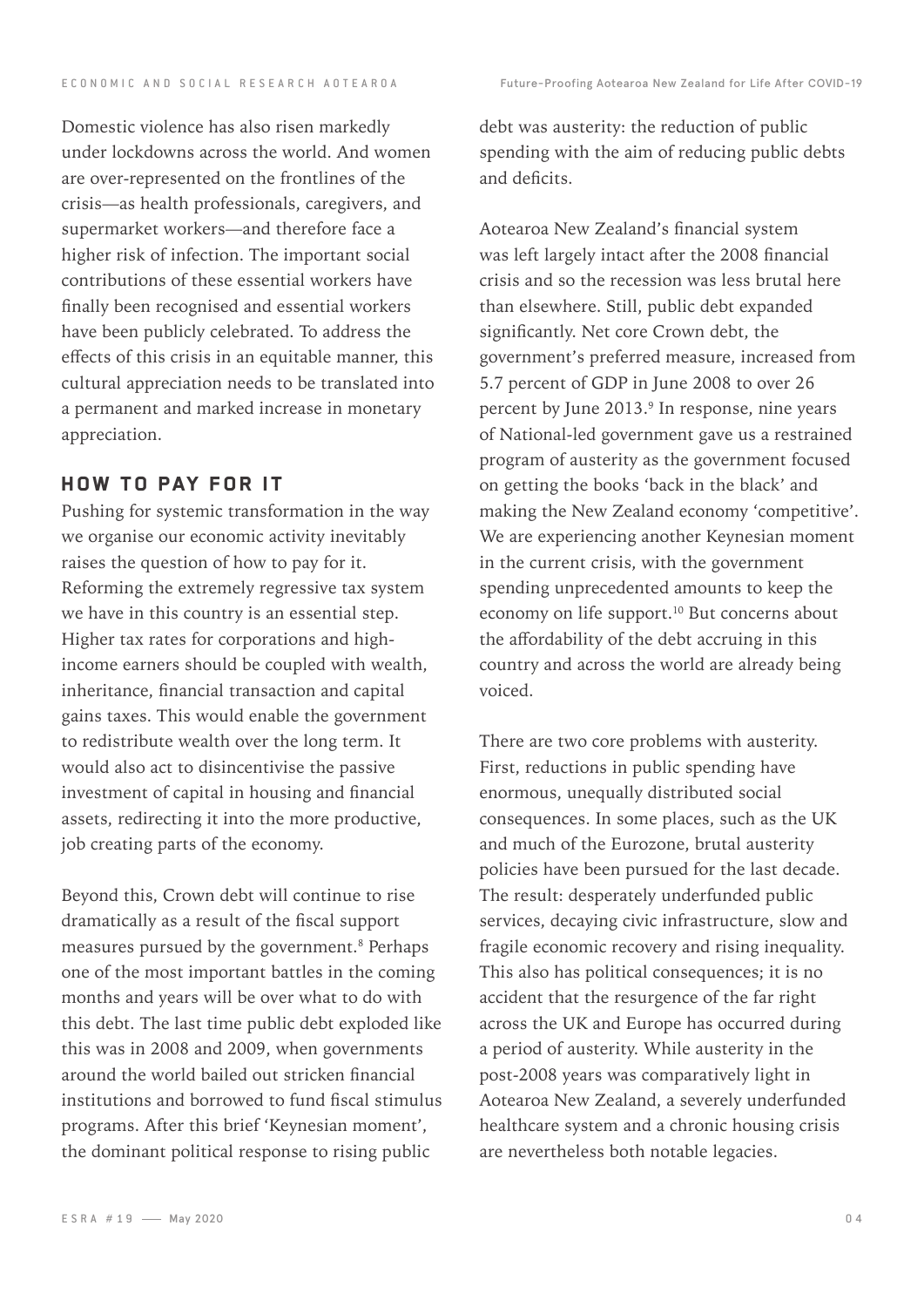Domestic violence has also risen markedly under lockdowns across the world. And women are over-represented on the frontlines of the crisis—as health professionals, caregivers, and supermarket workers—and therefore face a higher risk of infection. The important social contributions of these essential workers have finally been recognised and essential workers have been publicly celebrated. To address the effects of this crisis in an equitable manner, this cultural appreciation needs to be translated into a permanent and marked increase in monetary appreciation.

#### HOW TO PAY FOR IT

Pushing for systemic transformation in the way we organise our economic activity inevitably raises the question of how to pay for it. Reforming the extremely regressive tax system we have in this country is an essential step. Higher tax rates for corporations and highincome earners should be coupled with wealth, inheritance, financial transaction and capital gains taxes. This would enable the government to redistribute wealth over the long term. It would also act to disincentivise the passive investment of capital in housing and financial assets, redirecting it into the more productive, job creating parts of the economy.

Beyond this, Crown debt will continue to rise dramatically as a result of the fiscal support measures pursued by the government.<sup>8</sup> Perhaps one of the most important battles in the coming months and years will be over what to do with this debt. The last time public debt exploded like this was in 2008 and 2009, when governments around the world bailed out stricken financial institutions and borrowed to fund fiscal stimulus programs. After this brief 'Keynesian moment', the dominant political response to rising public

debt was austerity: the reduction of public spending with the aim of reducing public debts and deficits.

Aotearoa New Zealand's financial system was left largely intact after the 2008 financial crisis and so the recession was less brutal here than elsewhere. Still, public debt expanded significantly. Net core Crown debt, the government's preferred measure, increased from 5.7 percent of GDP in June 2008 to over 26 percent by June 2013.9 In response, nine years of National-led government gave us a restrained program of austerity as the government focused on getting the books 'back in the black' and making the New Zealand economy 'competitive'. We are experiencing another Keynesian moment in the current crisis, with the government spending unprecedented amounts to keep the economy on life support.<sup>10</sup> But concerns about the affordability of the debt accruing in this country and across the world are already being voiced.

There are two core problems with austerity. First, reductions in public spending have enormous, unequally distributed social consequences. In some places, such as the UK and much of the Eurozone, brutal austerity policies have been pursued for the last decade. The result: desperately underfunded public services, decaying civic infrastructure, slow and fragile economic recovery and rising inequality. This also has political consequences; it is no accident that the resurgence of the far right across the UK and Europe has occurred during a period of austerity. While austerity in the post-2008 years was comparatively light in Aotearoa New Zealand, a severely underfunded healthcare system and a chronic housing crisis are nevertheless both notable legacies.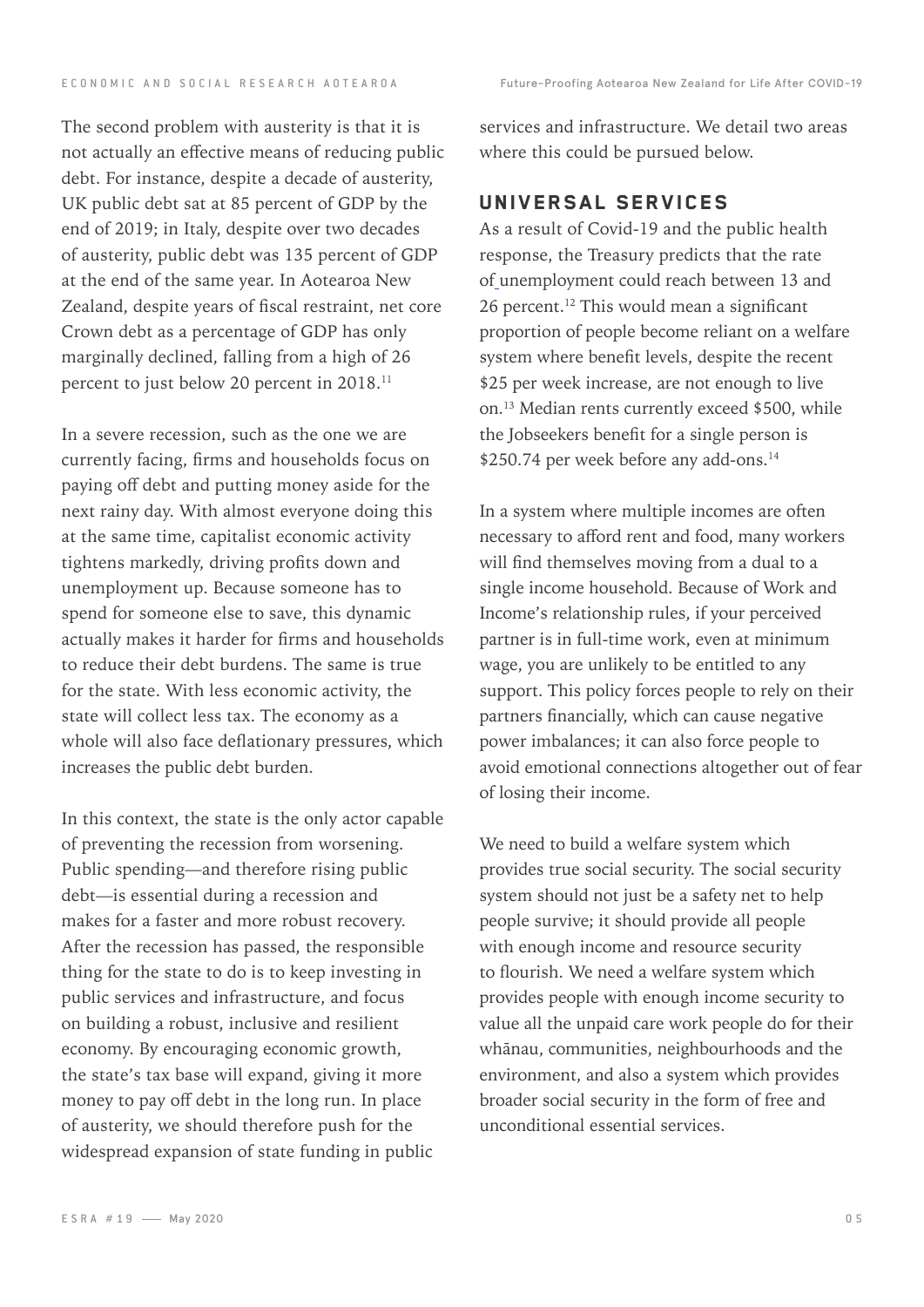E C O N O M I C A N D S O C I A L R E S E A R C H A O T E A R O A C FUTURE-Proofing Aotearoa New Zealand for Life After COVID-19

The second problem with austerity is that it is not actually an effective means of reducing public debt. For instance, despite a decade of austerity, UK public debt sat at 85 percent of GDP by the end of 2019; in Italy, despite over two decades of austerity, public debt was 135 percent of GDP at the end of the same year. In Aotearoa New Zealand, despite years of fiscal restraint, net core Crown debt as a percentage of GDP has only marginally declined, falling from a high of 26 percent to just below 20 percent in 2018.11

In a severe recession, such as the one we are currently facing, firms and households focus on paying off debt and putting money aside for the next rainy day. With almost everyone doing this at the same time, capitalist economic activity tightens markedly, driving profits down and unemployment up. Because someone has to spend for someone else to save, this dynamic actually makes it harder for firms and households to reduce their debt burdens. The same is true for the state. With less economic activity, the state will collect less tax. The economy as a whole will also face deflationary pressures, which increases the public debt burden.

In this context, the state is the only actor capable of preventing the recession from worsening. Public spending—and therefore rising public debt—is essential during a recession and makes for a faster and more robust recovery. After the recession has passed, the responsible thing for the state to do is to keep investing in public services and infrastructure, and focus on building a robust, inclusive and resilient economy. By encouraging economic growth, the state's tax base will expand, giving it more money to pay off debt in the long run. In place of austerity, we should therefore push for the widespread expansion of state funding in public

services and infrastructure. We detail two areas where this could be pursued below.

#### UNIVERSAL SERVICES

As a result of Covid-19 and the public health response, the Treasury predicts that the rate of unemployment could reach between 13 and 26 percent.<sup>12</sup> This would mean a significant proportion of people become reliant on a welfare system where benefit levels, despite the recent \$25 per week increase, are not enough to live on.13 Median rents currently exceed \$500, while the Jobseekers benefit for a single person is \$250.74 per week before any add-ons.<sup>14</sup>

In a system where multiple incomes are often necessary to afford rent and food, many workers will find themselves moving from a dual to a single income household. Because of Work and Income's relationship rules, if your perceived partner is in full-time work, even at minimum wage, you are unlikely to be entitled to any support. This policy forces people to rely on their partners financially, which can cause negative power imbalances; it can also force people to avoid emotional connections altogether out of fear of losing their income.

We need to build a welfare system which provides true social security. The social security system should not just be a safety net to help people survive; it should provide all people with enough income and resource security to flourish. We need a welfare system which provides people with enough income security to value all the unpaid care work people do for their whānau, communities, neighbourhoods and the environment, and also a system which provides broader social security in the form of free and unconditional essential services.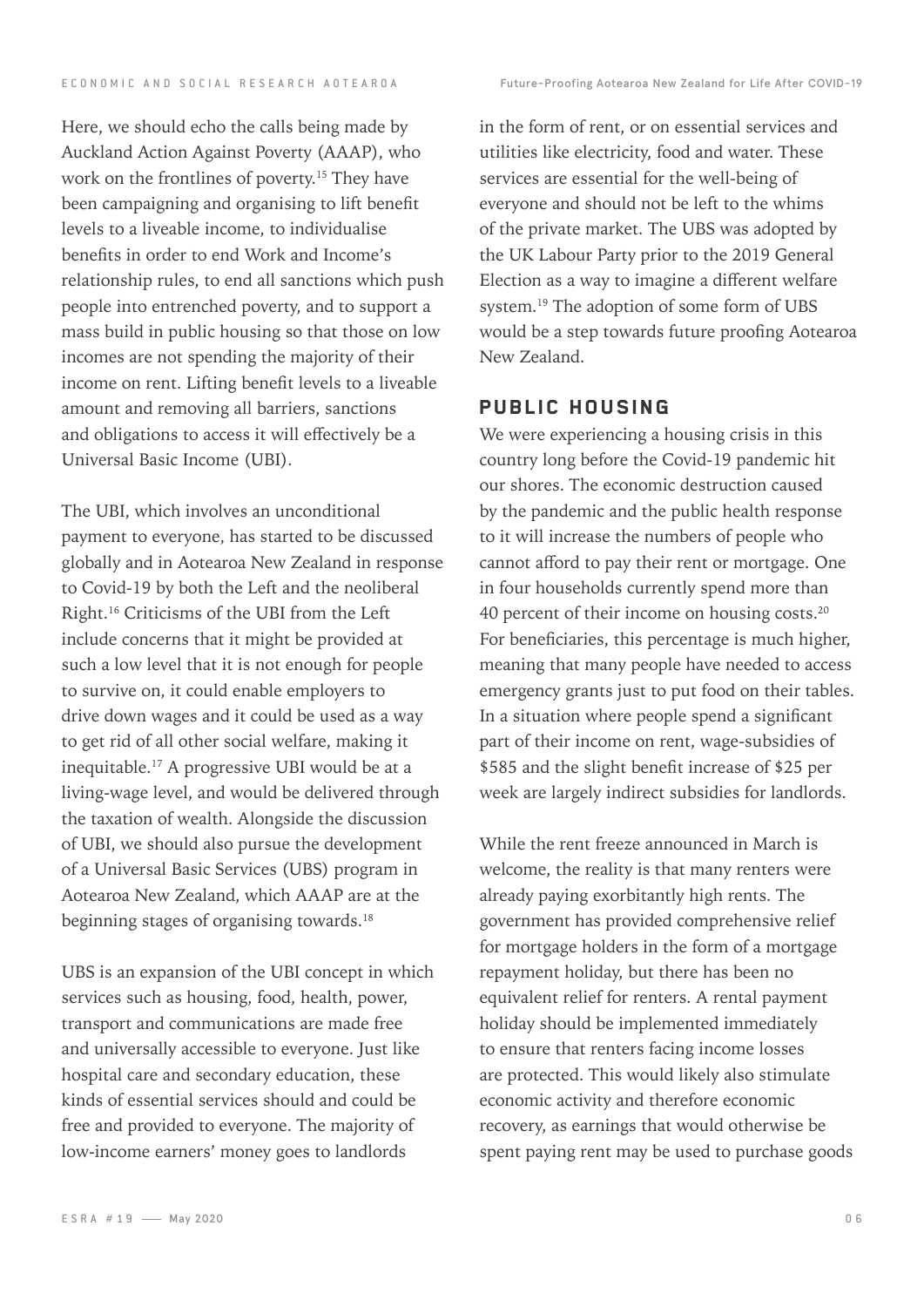Here, we should echo the calls being made by Auckland Action Against Poverty (AAAP), who work on the frontlines of poverty.<sup>15</sup> They have been campaigning and organising to lift benefit levels to a liveable income, to individualise benefits in order to end Work and Income's relationship rules, to end all sanctions which push people into entrenched poverty, and to support a mass build in public housing so that those on low incomes are not spending the majority of their income on rent. Lifting benefit levels to a liveable amount and removing all barriers, sanctions and obligations to access it will effectively be a Universal Basic Income (UBI).

The UBI, which involves an unconditional payment to everyone, has started to be discussed globally and in Aotearoa New Zealand in response to Covid-19 by both the Left and the neoliberal Right.16 Criticisms of the UBI from the Left include concerns that it might be provided at such a low level that it is not enough for people to survive on, it could enable employers to drive down wages and it could be used as a way to get rid of all other social welfare, making it inequitable.17 A progressive UBI would be at a living-wage level, and would be delivered through the taxation of wealth. Alongside the discussion of UBI, we should also pursue the development of a Universal Basic Services (UBS) program in Aotearoa New Zealand, which AAAP are at the beginning stages of organising towards.<sup>18</sup>

UBS is an expansion of the UBI concept in which services such as housing, food, health, power, transport and communications are made free and universally accessible to everyone. Just like hospital care and secondary education, these kinds of essential services should and could be free and provided to everyone. The majority of low-income earners' money goes to landlords

in the form of rent, or on essential services and utilities like electricity, food and water. These services are essential for the well-being of everyone and should not be left to the whims of the private market. The UBS was adopted by the UK Labour Party prior to the 2019 General Election as a way to imagine a different welfare system. 19 The adoption of some form of UBS would be a step towards future proofing Aotearoa New Zealand.

#### PUBLIC HOUSING

We were experiencing a housing crisis in this country long before the Covid-19 pandemic hit our shores. The economic destruction caused by the pandemic and the public health response to it will increase the numbers of people who cannot afford to pay their rent or mortgage. One in four households currently spend more than 40 percent of their income on housing costs.20 For beneficiaries, this percentage is much higher, meaning that many people have needed to access emergency grants just to put food on their tables. In a situation where people spend a significant part of their income on rent, wage-subsidies of \$585 and the slight benefit increase of \$25 per week are largely indirect subsidies for landlords.

While the rent freeze announced in March is welcome, the reality is that many renters were already paying exorbitantly high rents. The government has provided comprehensive relief for mortgage holders in the form of a mortgage repayment holiday, but there has been no equivalent relief for renters. A rental payment holiday should be implemented immediately to ensure that renters facing income losses are protected. This would likely also stimulate economic activity and therefore economic recovery, as earnings that would otherwise be spent paying rent may be used to purchase goods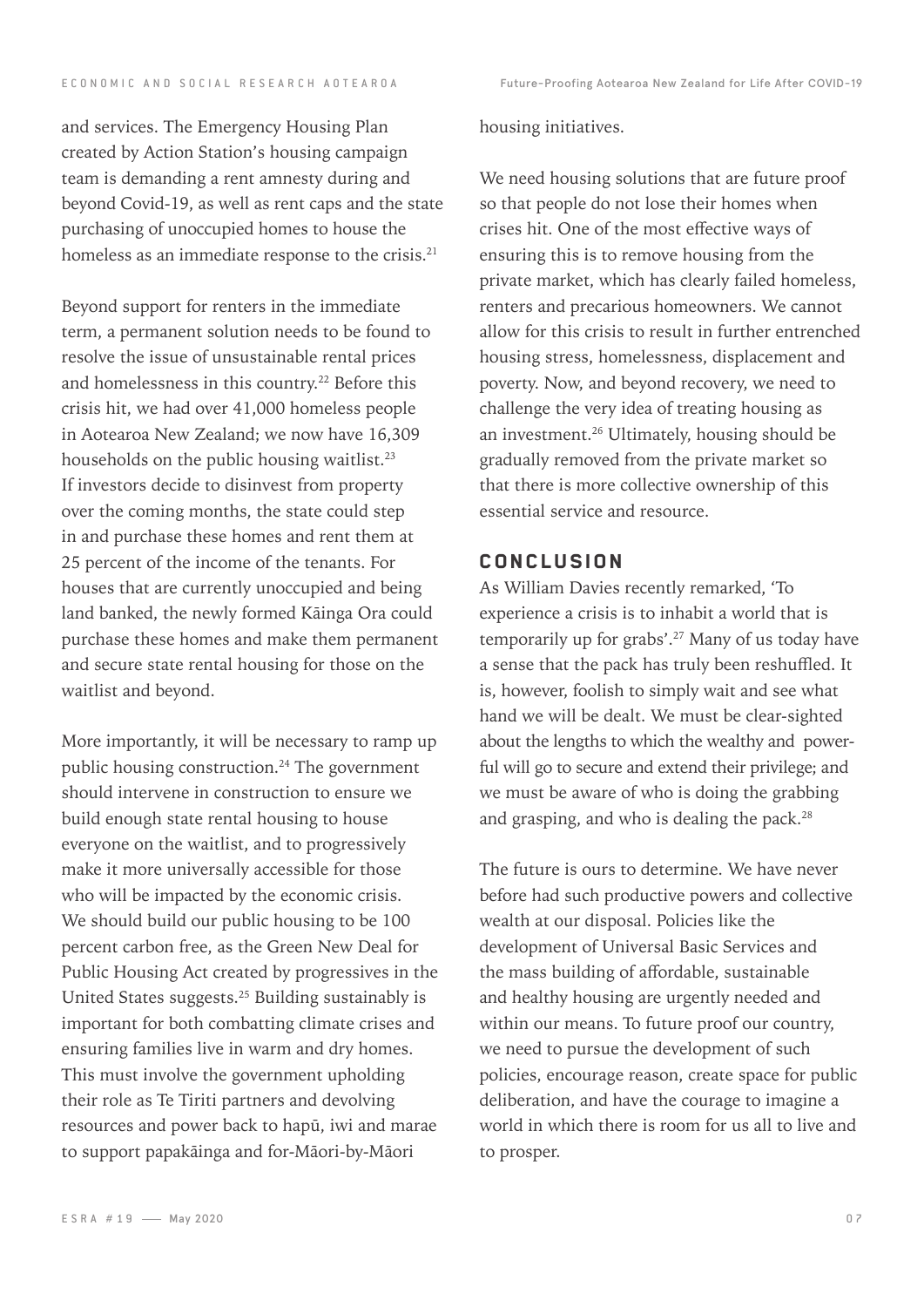and services. The Emergency Housing Plan created by Action Station's housing campaign team is demanding a rent amnesty during and beyond Covid-19, as well as rent caps and the state purchasing of unoccupied homes to house the homeless as an immediate response to the crisis.<sup>21</sup>

Beyond support for renters in the immediate term, a permanent solution needs to be found to resolve the issue of unsustainable rental prices and homelessness in this country.<sup>22</sup> Before this crisis hit, we had over 41,000 homeless people in Aotearoa New Zealand; we now have 16,309 households on the public housing waitlist.<sup>23</sup> If investors decide to disinvest from property over the coming months, the state could step in and purchase these homes and rent them at 25 percent of the income of the tenants. For houses that are currently unoccupied and being land banked, the newly formed Kāinga Ora could purchase these homes and make them permanent and secure state rental housing for those on the waitlist and beyond.

More importantly, it will be necessary to ramp up public housing construction.<sup>24</sup> The government should intervene in construction to ensure we build enough state rental housing to house everyone on the waitlist, and to progressively make it more universally accessible for those who will be impacted by the economic crisis. We should build our public housing to be 100 percent carbon free, as the Green New Deal for Public Housing Act created by progressives in the United States suggests.25 Building sustainably is important for both combatting climate crises and ensuring families live in warm and dry homes. This must involve the government upholding their role as Te Tiriti partners and devolving resources and power back to hapū, iwi and marae to support papakāinga and for-Māori-by-Māori

#### housing initiatives.

We need housing solutions that are future proof so that people do not lose their homes when crises hit. One of the most effective ways of ensuring this is to remove housing from the private market, which has clearly failed homeless, renters and precarious homeowners. We cannot allow for this crisis to result in further entrenched housing stress, homelessness, displacement and poverty. Now, and beyond recovery, we need to challenge the very idea of treating housing as an investment.26 Ultimately, housing should be gradually removed from the private market so that there is more collective ownership of this essential service and resource.

#### CONCLUSION

As William Davies recently remarked, 'To experience a crisis is to inhabit a world that is temporarily up for grabs'.<sup>27</sup> Many of us today have a sense that the pack has truly been reshuffled. It is, however, foolish to simply wait and see what hand we will be dealt. We must be clear-sighted about the lengths to which the wealthy and powerful will go to secure and extend their privilege; and we must be aware of who is doing the grabbing and grasping, and who is dealing the pack.<sup>28</sup>

The future is ours to determine. We have never before had such productive powers and collective wealth at our disposal. Policies like the development of Universal Basic Services and the mass building of affordable, sustainable and healthy housing are urgently needed and within our means. To future proof our country, we need to pursue the development of such policies, encourage reason, create space for public deliberation, and have the courage to imagine a world in which there is room for us all to live and to prosper.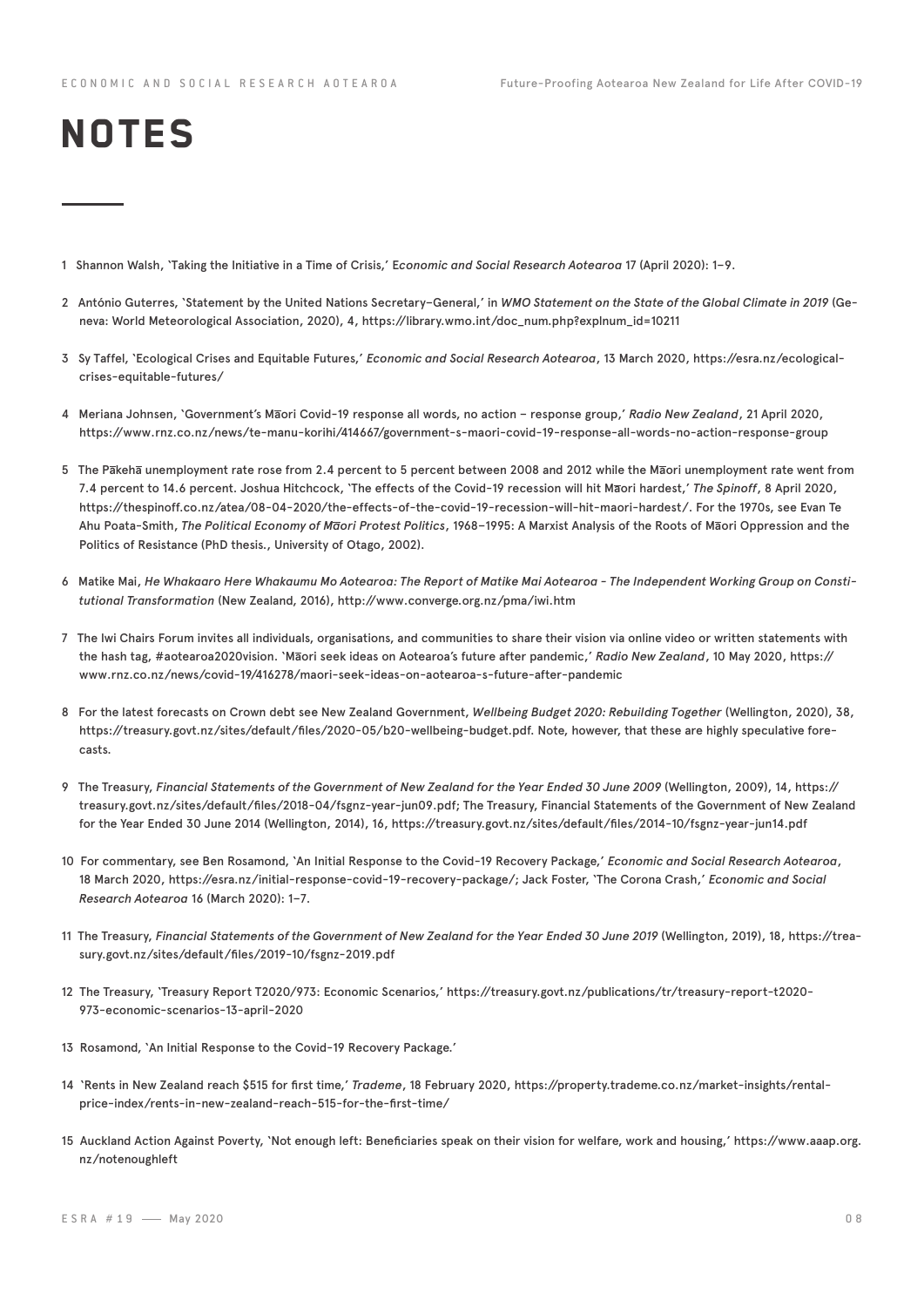# **NOTES**

- 1 Shannon Walsh, 'Taking the Initiative in a Time of Crisis,' E*conomic and Social Research Aotearoa* 17 (April 2020): 1–9.
- 2 António Guterres, 'Statement by the United Nations Secretary–General,' in *WMO Statement on the State of the Global Climate in 2019* (Geneva: World Meteorological Association, 2020), 4, https://library.wmo.int/doc\_num.php?explnum\_id=10211
- 3 Sy Taffel, 'Ecological Crises and Equitable Futures,' *Economic and Social Research Aotearoa*, 13 March 2020, https://esra.nz/ecologicalcrises-equitable-futures/
- 4 Meriana Johnsen, 'Government's Maori Covid-19 response all words, no action response group,' *Radio New Zealand*, 21 April 2020, https://www.rnz.co.nz/news/te-manu-korihi/414667/government-s-maori-covid-19-response-all-words-no-action-response-group
- 5 The Pakeha unemployment rate rose from 2.4 percent to 5 percent between 2008 and 2012 while the Maori unemployment rate went from 7.4 percent to 14.6 percent. Joshua Hitchcock, 'The effects of the Covid-19 recession will hit Maori hardest,' *The Spinoff*, 8 April 2020, https://thespinoff.co.nz/atea/08-04-2020/the-effects-of-the-covid-19-recession-will-hit-maori-hardest/. For the 1970s, see Evan Te Ahu Poata-Smith, *The Political Economy of Maori Protest Politics*, 1968–1995: A Marxist Analysis of the Roots of Maori Oppression and the Politics of Resistance (PhD thesis., University of Otago, 2002).
- 6 Matike Mai, *He Whakaaro Here Whakaumu Mo Aotearoa: The Report of Matike Mai Aotearoa The Independent Working Group on Constitutional Transformation* (New Zealand, 2016), http://www.converge.org.nz/pma/iwi.htm
- 7 The Iwi Chairs Forum invites all individuals, organisations, and communities to share their vision via online video or written statements with the hash tag, #aotearoa2020vision. 'Maori seek ideas on Aotearoa's future after pandemic,' *Radio New Zealand*, 10 May 2020, https:// www.rnz.co.nz/news/covid-19/416278/maori-seek-ideas-on-aotearoa-s-future-after-pandemic
- 8 For the latest forecasts on Crown debt see New Zealand Government, *Wellbeing Budget 2020: Rebuilding Together* (Wellington, 2020), 38, https://treasury.govt.nz/sites/default/files/2020-05/b20-wellbeing-budget.pdf. Note, however, that these are highly speculative forecasts.
- 9 The Treasury, *Financial Statements of the Government of New Zealand for the Year Ended 30 June 2009* (Wellington, 2009), 14, https:// treasury.govt.nz/sites/default/files/2018-04/fsgnz-year-jun09.pdf; The Treasury, Financial Statements of the Government of New Zealand for the Year Ended 30 June 2014 (Wellington, 2014), 16, https://treasury.govt.nz/sites/default/files/2014-10/fsgnz-year-jun14.pdf
- 10 For commentary, see Ben Rosamond, 'An Initial Response to the Covid-19 Recovery Package,' *Economic and Social Research Aotearoa*, 18 March 2020, https://esra.nz/initial-response-covid-19-recovery-package/; Jack Foster, 'The Corona Crash,' *Economic and Social Research Aotearoa* 16 (March 2020): 1–7.
- 11 The Treasury, *Financial Statements of the Government of New Zealand for the Year Ended 30 June 2019* (Wellington, 2019), 18, https://treasury.govt.nz/sites/default/files/2019-10/fsgnz-2019.pdf
- 12 The Treasury, 'Treasury Report T2020/973: Economic Scenarios,' https://treasury.govt.nz/publications/tr/treasury-report-t2020- 973-economic-scenarios-13-april-2020
- 13 Rosamond, 'An Initial Response to the Covid-19 Recovery Package.'
- 14 'Rents in New Zealand reach \$515 for first time,' *Trademe*, 18 February 2020, https://property.trademe.co.nz/market-insights/rentalprice-index/rents-in-new-zealand-reach-515-for-the-first-time/
- 15 Auckland Action Against Poverty, 'Not enough left: Beneficiaries speak on their vision for welfare, work and housing,' https://www.aaap.org. nz/notenoughleft